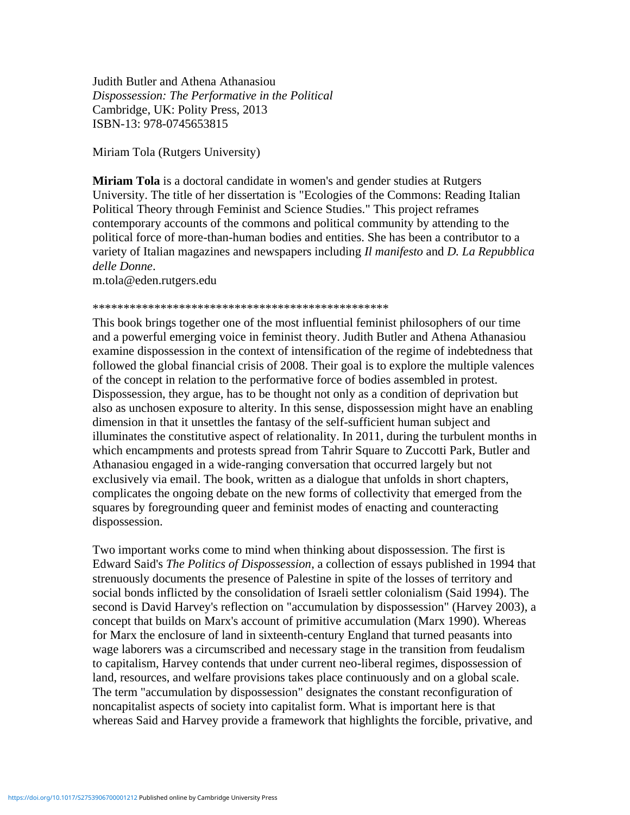Judith Butler and Athena Athanasiou *Dispossession: The Performative in the Political* Cambridge, UK: Polity Press, 2013 ISBN-13: 978-0745653815

Miriam Tola (Rutgers University)

**Miriam Tola** is a doctoral candidate in women's and gender studies at Rutgers University. The title of her dissertation is "Ecologies of the Commons: Reading Italian Political Theory through Feminist and Science Studies." This project reframes contemporary accounts of the commons and political community by attending to the political force of more-than-human bodies and entities. She has been a contributor to a variety of Italian magazines and newspapers including *Il manifesto* and *D. La Repubblica delle Donne*.

m.tola@eden.rutgers.edu

## \*\*\*\*\*\*\*\*\*\*\*\*\*\*\*\*\*\*\*\*\*\*\*\*\*\*\*\*\*\*\*\*\*\*\*\*\*\*\*\*\*\*\*\*\*\*\*\*

This book brings together one of the most influential feminist philosophers of our time and a powerful emerging voice in feminist theory. Judith Butler and Athena Athanasiou examine dispossession in the context of intensification of the regime of indebtedness that followed the global financial crisis of 2008. Their goal is to explore the multiple valences of the concept in relation to the performative force of bodies assembled in protest. Dispossession, they argue, has to be thought not only as a condition of deprivation but also as unchosen exposure to alterity. In this sense, dispossession might have an enabling dimension in that it unsettles the fantasy of the self-sufficient human subject and illuminates the constitutive aspect of relationality. In 2011, during the turbulent months in which encampments and protests spread from Tahrir Square to Zuccotti Park, Butler and Athanasiou engaged in a wide-ranging conversation that occurred largely but not exclusively via email. The book, written as a dialogue that unfolds in short chapters, complicates the ongoing debate on the new forms of collectivity that emerged from the squares by foregrounding queer and feminist modes of enacting and counteracting dispossession.

Two important works come to mind when thinking about dispossession. The first is Edward Said's *The Politics of Dispossession*, a collection of essays published in 1994 that strenuously documents the presence of Palestine in spite of the losses of territory and social bonds inflicted by the consolidation of Israeli settler colonialism (Said 1994). The second is David Harvey's reflection on "accumulation by dispossession" (Harvey 2003), a concept that builds on Marx's account of primitive accumulation (Marx 1990). Whereas for Marx the enclosure of land in sixteenth-century England that turned peasants into wage laborers was a circumscribed and necessary stage in the transition from feudalism to capitalism, Harvey contends that under current neo-liberal regimes, dispossession of land, resources, and welfare provisions takes place continuously and on a global scale. The term "accumulation by dispossession" designates the constant reconfiguration of noncapitalist aspects of society into capitalist form. What is important here is that whereas Said and Harvey provide a framework that highlights the forcible, privative, and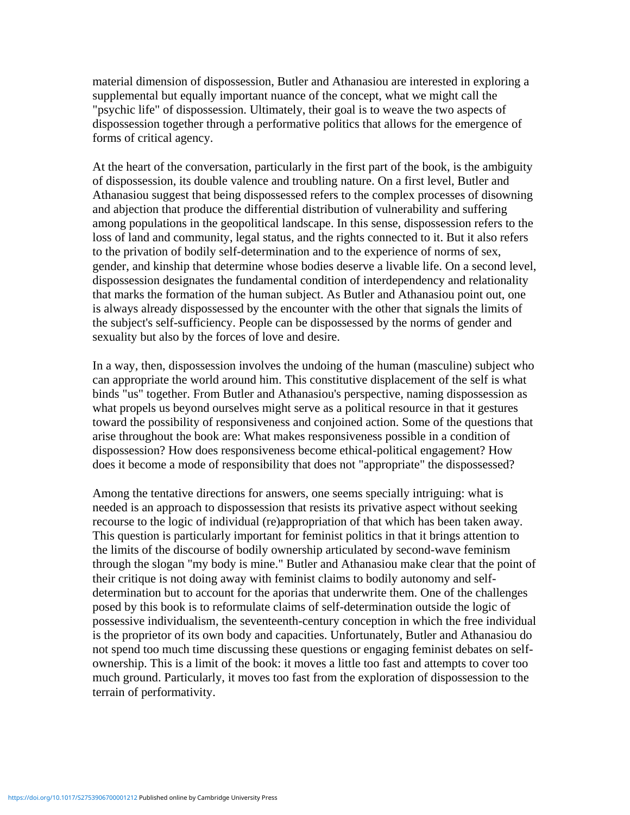material dimension of dispossession, Butler and Athanasiou are interested in exploring a supplemental but equally important nuance of the concept, what we might call the "psychic life" of dispossession. Ultimately, their goal is to weave the two aspects of dispossession together through a performative politics that allows for the emergence of forms of critical agency.

At the heart of the conversation, particularly in the first part of the book, is the ambiguity of dispossession, its double valence and troubling nature. On a first level, Butler and Athanasiou suggest that being dispossessed refers to the complex processes of disowning and abjection that produce the differential distribution of vulnerability and suffering among populations in the geopolitical landscape. In this sense, dispossession refers to the loss of land and community, legal status, and the rights connected to it. But it also refers to the privation of bodily self-determination and to the experience of norms of sex, gender, and kinship that determine whose bodies deserve a livable life. On a second level, dispossession designates the fundamental condition of interdependency and relationality that marks the formation of the human subject. As Butler and Athanasiou point out, one is always already dispossessed by the encounter with the other that signals the limits of the subject's self-sufficiency. People can be dispossessed by the norms of gender and sexuality but also by the forces of love and desire.

In a way, then, dispossession involves the undoing of the human (masculine) subject who can appropriate the world around him. This constitutive displacement of the self is what binds "us" together. From Butler and Athanasiou's perspective, naming dispossession as what propels us beyond ourselves might serve as a political resource in that it gestures toward the possibility of responsiveness and conjoined action. Some of the questions that arise throughout the book are: What makes responsiveness possible in a condition of dispossession? How does responsiveness become ethical-political engagement? How does it become a mode of responsibility that does not "appropriate" the dispossessed?

Among the tentative directions for answers, one seems specially intriguing: what is needed is an approach to dispossession that resists its privative aspect without seeking recourse to the logic of individual (re)appropriation of that which has been taken away. This question is particularly important for feminist politics in that it brings attention to the limits of the discourse of bodily ownership articulated by second-wave feminism through the slogan "my body is mine." Butler and Athanasiou make clear that the point of their critique is not doing away with feminist claims to bodily autonomy and selfdetermination but to account for the aporias that underwrite them. One of the challenges posed by this book is to reformulate claims of self-determination outside the logic of possessive individualism, the seventeenth-century conception in which the free individual is the proprietor of its own body and capacities. Unfortunately, Butler and Athanasiou do not spend too much time discussing these questions or engaging feminist debates on selfownership. This is a limit of the book: it moves a little too fast and attempts to cover too much ground. Particularly, it moves too fast from the exploration of dispossession to the terrain of performativity.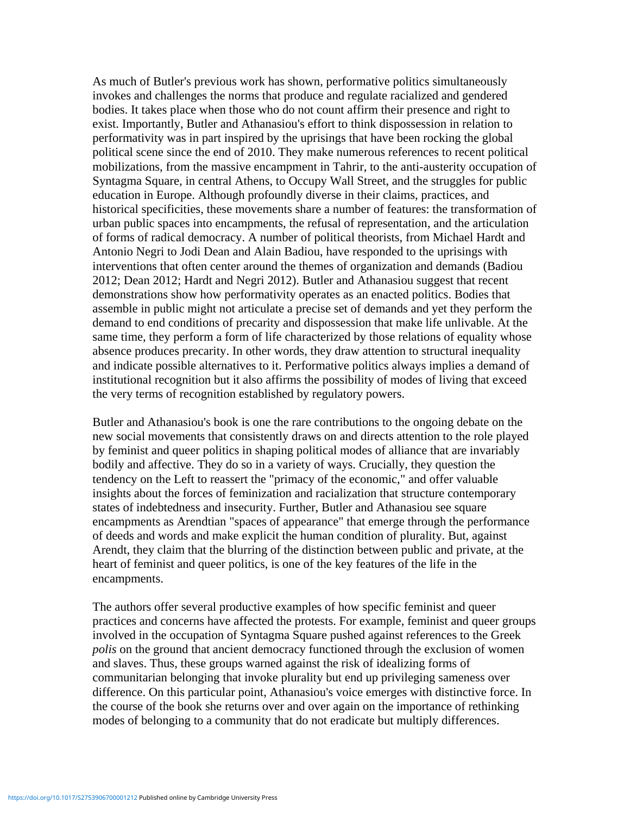As much of Butler's previous work has shown, performative politics simultaneously invokes and challenges the norms that produce and regulate racialized and gendered bodies. It takes place when those who do not count affirm their presence and right to exist. Importantly, Butler and Athanasiou's effort to think dispossession in relation to performativity was in part inspired by the uprisings that have been rocking the global political scene since the end of 2010. They make numerous references to recent political mobilizations, from the massive encampment in Tahrir, to the anti-austerity occupation of Syntagma Square, in central Athens, to Occupy Wall Street, and the struggles for public education in Europe. Although profoundly diverse in their claims, practices, and historical specificities, these movements share a number of features: the transformation of urban public spaces into encampments, the refusal of representation, and the articulation of forms of radical democracy. A number of political theorists, from Michael Hardt and Antonio Negri to Jodi Dean and Alain Badiou, have responded to the uprisings with interventions that often center around the themes of organization and demands (Badiou 2012; Dean 2012; Hardt and Negri 2012). Butler and Athanasiou suggest that recent demonstrations show how performativity operates as an enacted politics. Bodies that assemble in public might not articulate a precise set of demands and yet they perform the demand to end conditions of precarity and dispossession that make life unlivable. At the same time, they perform a form of life characterized by those relations of equality whose absence produces precarity. In other words, they draw attention to structural inequality and indicate possible alternatives to it. Performative politics always implies a demand of institutional recognition but it also affirms the possibility of modes of living that exceed the very terms of recognition established by regulatory powers.

Butler and Athanasiou's book is one the rare contributions to the ongoing debate on the new social movements that consistently draws on and directs attention to the role played by feminist and queer politics in shaping political modes of alliance that are invariably bodily and affective. They do so in a variety of ways. Crucially, they question the tendency on the Left to reassert the "primacy of the economic," and offer valuable insights about the forces of feminization and racialization that structure contemporary states of indebtedness and insecurity. Further, Butler and Athanasiou see square encampments as Arendtian "spaces of appearance" that emerge through the performance of deeds and words and make explicit the human condition of plurality. But, against Arendt, they claim that the blurring of the distinction between public and private, at the heart of feminist and queer politics, is one of the key features of the life in the encampments.

The authors offer several productive examples of how specific feminist and queer practices and concerns have affected the protests. For example, feminist and queer groups involved in the occupation of Syntagma Square pushed against references to the Greek *polis* on the ground that ancient democracy functioned through the exclusion of women and slaves. Thus, these groups warned against the risk of idealizing forms of communitarian belonging that invoke plurality but end up privileging sameness over difference. On this particular point, Athanasiou's voice emerges with distinctive force. In the course of the book she returns over and over again on the importance of rethinking modes of belonging to a community that do not eradicate but multiply differences.